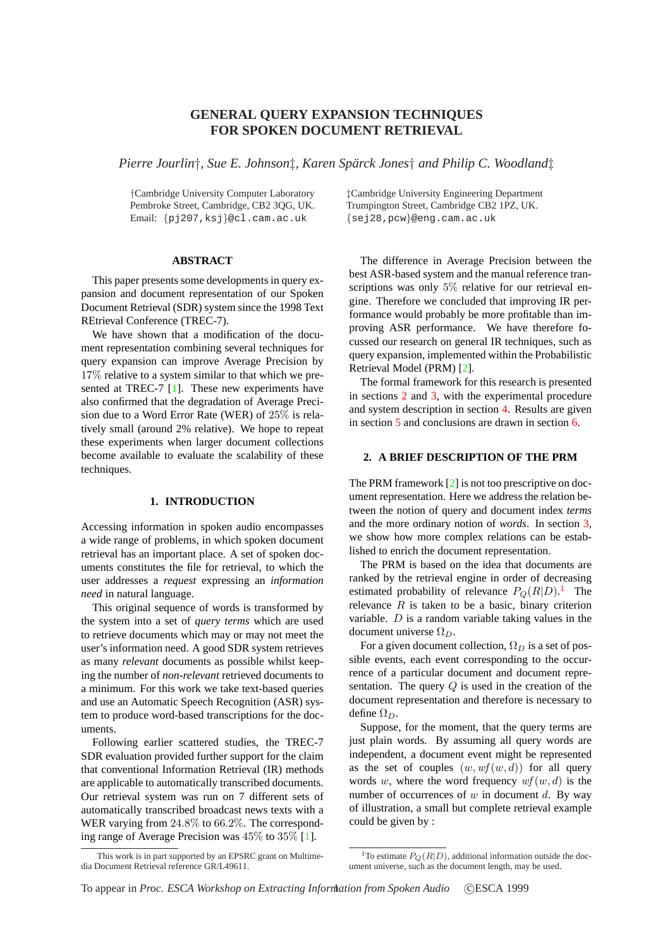# **GENERAL QUERY EXPANSION TECHNIQUES FOR SPOKEN DOCUMENT RETRIEVAL**

*Pierre Jourlin*†*, Sue E. Johnson*‡*, Karen Sparck Jones ¨* † *and Philip C. Woodland*‡

Pembroke Street, Cambridge, CB2 3QG, UK. Trumpington Street, Cambridge CB2<br>Email: {pj207, ksj}@cl.cam.ac.uk {sej28, pcw}@eng.cam.ac.uk Email:  ${pj207, ksj}$ @cl.cam.ac.uk

## **ABSTRACT**

This paper presents some developments in query expansion and document representation of our Spoken Document Retrieval (SDR) system since the 1998 Text REtrieval Conference (TREC-7).

We have shown that a modification of the document representation combining several techniques for query expansion can improve Average Precision by 17% relative to a system similar to that which we presented at TREC-7 [1]. These new experiments have also confirmed that the degradation of Average Precision due to a Word Error Rate (WER) of 25% is relatively small (around 2% relative). We hope to repeat these experiments [wh](#page-5-0)en larger document collections become available to evaluate the scalability of these techniques.

## **1. INTRODUCTION**

Accessing information in spoken audio encompasses a wide range of problems, in which spoken document retrieval has an important place. A set of spoken documents constitutes the file for retrieval, to which the user addresses a *request* expressing an *information need* in natural language.

This original sequence of words is transformed by the system into a set of *query terms* which are used to retrieve documents which may or may not meet the user's information need. A good SDR system retrieves as many *relevant* documents as possible whilst keeping the number of *non-relevant* retrieved documents to a minimum. For this work we take text-based queries and use an Automatic Speech Recognition (ASR) system to produce word-based transcriptions for the documents.

Following earlier scattered studies, the TREC-7 SDR evaluation provided further support for the claim that conventional Information Retrieval (IR) methods are applicable to automatically transcribed documents. Our retrieval system was run on 7 different sets of automatically transcribed broadcast news texts with a WER varying from 24.8% to 66.2%. The corresponding range of Average Precision was 45% to 35% [1].

†Cambridge University Computer Laboratory ‡Cambridge University Engineering Department

The difference in Average Precision between the best ASR-based system and the manual reference transcriptions was only  $5\%$  relative for our retrieval engine. Therefore we concluded that improving IR performance would probably be more profitable than improving ASR performance. We have therefore focussed our research on general IR techniques, such as query expansion, implemented within the Probabilistic Retrieval Model (PRM) [2].

The formal framework for this research is presented in sections 2 and 3, with the experimental procedure and system description in section 4. Results are given in section 5 and conclusi[on](#page-5-0)s are drawn in section 6.

## **2. A BRIEF [DE](#page-1-0)SCRIPTIO[N O](#page-2-0)F THE PRM**

The PRM [fr](#page-4-0)amework [2] is not too prescriptive on [do](#page-5-0)cument representation. Here we address the relation between the notion of query and document index *terms* and the more ordinary notion of *words*. In section 3, we show how more [com](#page-5-0)plex relations can be established to enrich the document representation.

The PRM is based on the idea that documents are ranked by the retrieval engine in order of decreasi[ng](#page-1-0) estimated probability of relevance  $P_Q(R|D)$ .<sup>1</sup> The relevance  $R$  is taken to be a basic, binary criterion variable.  $D$  is a random variable taking values in the document universe  $\Omega_D$ .

For a given document collection,  $\Omega_D$  is a set of possible events, each event corresponding to the occurrence of a particular document and document representation. The query  $Q$  is used in the creation of the document representation and therefore is necessary to define  $\Omega_D$ .

Suppose, for the moment, that the query terms are just plain words. By assuming all query words are independent, a document event might be represented as the set of couples  $(w, wf(w,d))$  for all query words w, where the word frequency  $wf(w, d)$  is the number of occurrences of  $w$  in document  $d$ . By way of illustration, a small but complete retrieval example could be given by :

This work is in part supported by an EPSRC grant on Multimedia Document Retrieval reference GR/L49611.

<sup>&</sup>lt;sup>1</sup>To estimate  $P_O(R|D)$ , additional information outside the document universe, such as the document length, may be used.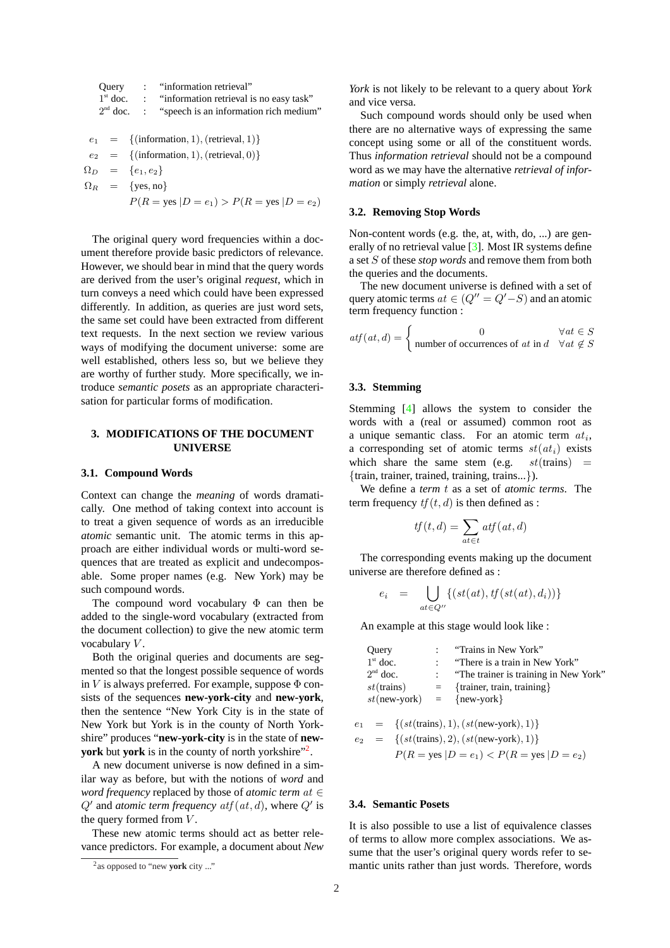<span id="page-1-0"></span>Query : "information retrieval"  
\n1<sup>st</sup> doc. : "information retrieval is no easy task"  
\n2<sup>nd</sup> doc. : "speech is an information rich medium"  
\n
$$
e_1 = \{(\text{information}, 1), (\text{retrieval}, 1)\}
$$
  
\n
$$
e_2 = \{(\text{information}, 1), (\text{retrieval}, 0)\}
$$
  
\n
$$
\Omega_D = \{e_1, e_2\}
$$
  
\n
$$
\Omega_R = \{yes, no\}
$$
  
\n
$$
P(R = yes | D = e_1) > P(R = yes | D = e_2)
$$

The original query word frequencies within a document therefore provide basic predictors of relevance. However, we should bear in mind that the query words are derived from the user's original *request*, which in turn conveys a need which could have been expressed differently. In addition, as queries are just word sets, the same set could have been extracted from different text requests. In the next section we review various ways of modifying the document universe: some are well established, others less so, but we believe they are worthy of further study. More specifically, we introduce *semantic posets* as an appropriate characterisation for particular forms of modification.

## **3. MODIFICATIONS OF THE DOCUMENT UNIVERSE**

### **3.1. Compound Words**

Context can change the *meaning* of words dramatically. One method of taking context into account is to treat a given sequence of words as an irreducible *atomic* semantic unit. The atomic terms in this approach are either individual words or multi-word sequences that are treated as explicit and undecomposable. Some proper names (e.g. New York) may be such compound words.

The compound word vocabulary  $\Phi$  can then be added to the single-word vocabulary (extracted from the document collection) to give the new atomic term vocabulary V.

Both the original queries and documents are segmented so that the longest possible sequence of words in  $V$  is always preferred. For example, suppose  $\Phi$  consists of the sequences **new-york-city** and **new-york**, then the sentence "New York City is in the state of New York but York is in the county of North Yorkshire" produces "**new-york-city** is in the state of **newyork** but **york** is in the county of north yorkshire"<sup>2</sup> .

A new document universe is now defined in a similar way as before, but with the notions of *word* and *word frequency* replaced by those of *atomic term* at ∈  $Q'$  and *atomic term frequency*  $\alpha t f(\alpha t, d)$ , where  $Q'$  is the query formed from  $V$ .

These new atomic terms should act as better relevance predictors. For example, a document about *New* *York* is not likely to be relevant to a query about *York* and vice versa.

Such compound words should only be used when there are no alternative ways of expressing the same concept using some or all of the constituent words. Thus *information retrieval* should not be a compound word as we may have the alternative *retrieval of information* or simply *retrieval* alone.

## **3.2. Removing Stop Words**

Non-content words (e.g. the, at, with, do, ...) are generally of no retrieval value [3]. Most IR systems define a set S of these *stop words* and remove them from both the queries and the documents.

The new document universe is defined with a set of query atomic terms  $at \in (Q'' = Q' - S)$  $at \in (Q'' = Q' - S)$  $at \in (Q'' = Q' - S)$  and an atomic term frequency function :

$$
atf(at, d) = \begin{cases} 0 & \forall at \in S \\ \text{number of occurrences of at in } d & \forall at \notin S \end{cases}
$$

## **3.3. Stemming**

Stemming [4] allows the system to consider the words with a (real or assumed) common root as a unique semantic class. For an atomic term  $at_i$ , a corresponding set of atomic terms  $st(at_i)$  exists which shar[e](#page-5-0) the same stem (e.g.  $st$ (trains) = {train, trainer, trained, training, trains...}).

We define a *term* t as a set of *atomic terms*. The term frequency  $tf(t, d)$  is then defined as :

$$
tf(t,d) = \sum_{at \in t} atf(at,d)
$$

The corresponding events making up the document universe are therefore defined as :

$$
e_i = \bigcup_{at \in Q''} \{ (st(at), tf(st(at), d_i)) \}
$$

An example at this stage would look like :

| : "Trains in New York"                  |
|-----------------------------------------|
| : "There is a train in New York"        |
| : "The trainer is training in New York" |
| $=$ {trainer, train, training}          |
| $st(new-vork)$ = {new-york}             |
|                                         |

 $= \{ (st(trans), 1), (st(new-york), 1) \}$ 

$$
e_2 = \{(st(\text{trans}), 2), (st(\text{new-york}), 1)\}
$$

$$
P(R = \text{yes} | D = e_1) < P(R = \text{yes} | D = e_2)
$$

## **3.4. Semantic Posets**

It is also possible to use a list of equivalence classes of terms to allow more complex associations. We assume that the user's original query words refer to semantic units rather than just words. Therefore, words

<sup>&</sup>lt;sup>2</sup> as opposed to "new **york** city ..."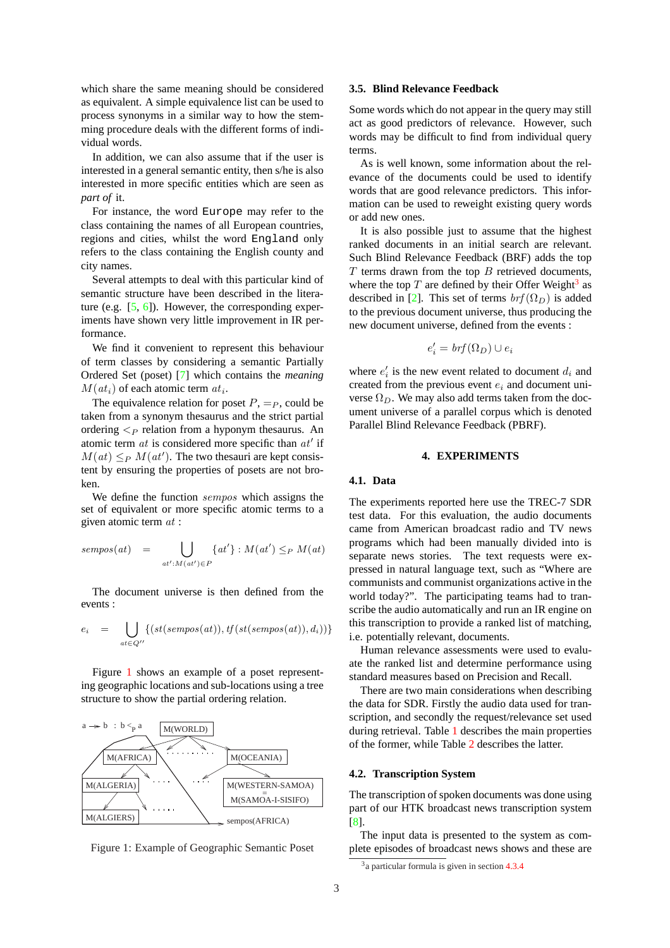<span id="page-2-0"></span>which share the same meaning should be considered as equivalent. A simple equivalence list can be used to process synonyms in a similar way to how the stemming procedure deals with the different forms of individual words.

In addition, we can also assume that if the user is interested in a general semantic entity, then s/he is also interested in more specific entities which are seen as *part of* it.

For instance, the word Europe may refer to the class containing the names of all European countries, regions and cities, whilst the word England only refers to the class containing the English county and city names.

Several attempts to deal with this particular kind of semantic structure have been described in the literature (e.g.  $[5, 6]$ ). However, the corresponding experiments have shown very little improvement in IR performance.

We find it convenient to represent this behaviour of term cl[asses](#page-5-0) by considering a semantic Partially Ordered Set (poset) [7] which contains the *meaning*  $M(at_i)$  of each atomic term  $at_i$ .

The equivalence relation for poset  $P, =_P$ , could be taken from a synonym thesaurus and the strict partial ordering  $\lt_P$  relation [fr](#page-5-0)om a hyponym thesaurus. An atomic term  $at$  is considered more specific than  $at'$  if  $M(at) \leq_P M(at')$ . The two thesauri are kept consistent by ensuring the properties of posets are not broken.

We define the function sempos which assigns the set of equivalent or more specific atomic terms to a given atomic term at :

$$
sempos(at) = \bigcup_{at': M(at') \in P} \{at'\} : M(at') \leq_P M(at)
$$

The document universe is then defined from the events :

$$
e_i = \bigcup_{at \in Q''} \{ (st(sempos(at)), tf(st(sempos(at)), d_i)) \}
$$

Figure 1 shows an example of a poset representing geographic locations and sub-locations using a tree structure to show the partial ordering relation.





## **3.5. Blind Relevance Feedback**

Some words which do not appear in the query may still act as good predictors of relevance. However, such words may be difficult to find from individual query terms.

As is well known, some information about the relevance of the documents could be used to identify words that are good relevance predictors. This information can be used to reweight existing query words or add new ones.

It is also possible just to assume that the highest ranked documents in an initial search are relevant. Such Blind Relevance Feedback (BRF) adds the top  $T$  terms drawn from the top  $B$  retrieved documents, where the top  $T$  are defined by their Offer Weight<sup>3</sup> as described in [2]. This set of terms  $brf(\Omega_D)$  is added to the previous document universe, thus producing the new document universe, defined from the events :

$$
e_i' = brf(\Omega_D) \cup e_i
$$

where  $e'_i$  is the new event related to document  $d_i$  and created from the previous event  $e_i$  and document universe  $\Omega_D$ . We may also add terms taken from the document universe of a parallel corpus which is denoted Parallel Blind Relevance Feedback (PBRF).

#### **4. EXPERIMENTS**

#### **4.1. Data**

The experiments reported here use the TREC-7 SDR test data. For this evaluation, the audio documents came from American broadcast radio and TV news programs which had been manually divided into is separate news stories. The text requests were expressed in natural language text, such as "Where are communists and communist organizations active in the world today?". The participating teams had to transcribe the audio automatically and run an IR engine on this transcription to provide a ranked list of matching, i.e. potentially relevant, documents.

Human relevance assessments were used to evaluate the ranked list and determine performance using standard measures based on Precision and Recall.

There are two main considerations when describing the data for SDR. Firstly the audio data used for transcription, and secondly the request/relevance set used during retrieval. Table 1 describes the main properties of the former, while Table 2 describes the latter.

#### **4.2. Transcription System**

The transcription of sp[ok](#page-3-0)e[n d](#page-3-0)ocuments was done using part of our HTK broadcast news transcription system [8].

The input data is presented to the system as complete episodes of broadcast news shows and these are

<sup>&</sup>lt;sup>3</sup> a particular formula is given in section 4.3.4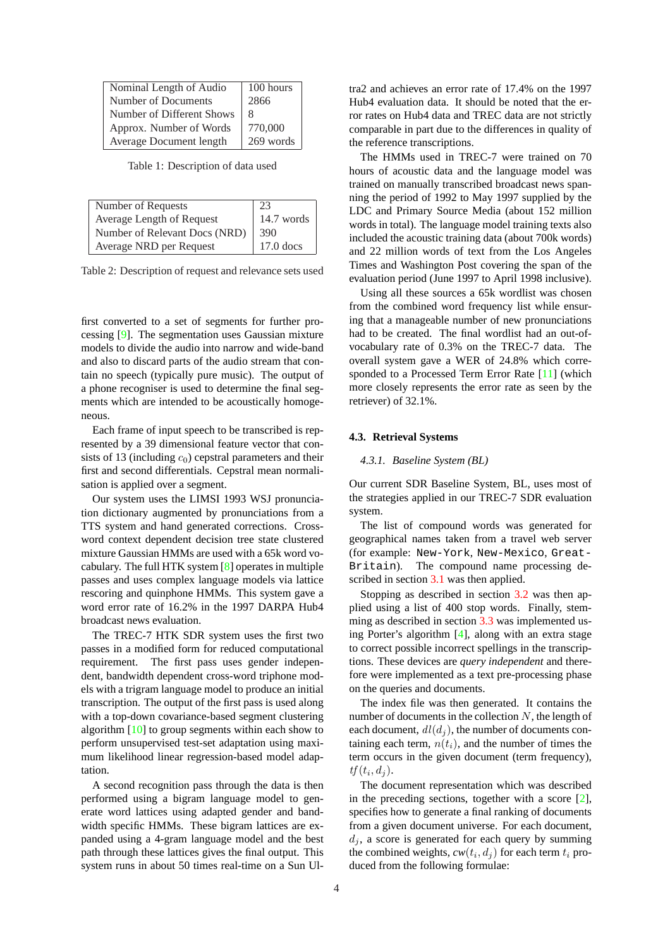<span id="page-3-0"></span>

| Nominal Length of Audio   | 100 hours |
|---------------------------|-----------|
| Number of Documents       | 2866      |
| Number of Different Shows | 8         |
| Approx. Number of Words   | 770,000   |
| Average Document length   | 269 words |

Table 1: Description of data used

| Number of Requests            | 23          |  |
|-------------------------------|-------------|--|
| Average Length of Request     | 14.7 words  |  |
| Number of Relevant Docs (NRD) | 390         |  |
| Average NRD per Request       | $17.0$ docs |  |

Table 2: Description of request and relevance sets used

first converted to a set of segments for further processing [9]. The segmentation uses Gaussian mixture models to divide the audio into narrow and wide-band and also to discard parts of the audio stream that contain no speech (typically pure music). The output of a phone [re](#page-5-0)cogniser is used to determine the final segments which are intended to be acoustically homogeneous.

Each frame of input speech to be transcribed is represented by a 39 dimensional feature vector that consists of 13 (including  $c_0$ ) cepstral parameters and their first and second differentials. Cepstral mean normalisation is applied over a segment.

Our system uses the LIMSI 1993 WSJ pronunciation dictionary augmented by pronunciations from a TTS system and hand generated corrections. Crossword context dependent decision tree state clustered mixture Gaussian HMMs are used with a 65k word vocabulary. The full HTK system [8] operates in multiple passes and uses complex language models via lattice rescoring and quinphone HMMs. This system gave a word error rate of 16.2% in the 1997 DARPA Hub4 broadcast news evaluation.

The TREC-7 HTK SDR system uses the first two passes in a modified form for reduced computational requirement. The first pass uses gender independent, bandwidth dependent cross-word triphone models with a trigram language model to produce an initial transcription. The output of the first pass is used along with a top-down covariance-based segment clustering algorithm [10] to group segments within each show to perform unsupervised test-set adaptation using maximum likelihood linear regression-based model adaptation.

A secon[d re](#page-5-0)cognition pass through the data is then performed using a bigram language model to generate word lattices using adapted gender and bandwidth specific HMMs. These bigram lattices are expanded using a 4-gram language model and the best path through these lattices gives the final output. This system runs in about 50 times real-time on a Sun Ultra2 and achieves an error rate of 17.4% on the 1997 Hub4 evaluation data. It should be noted that the error rates on Hub4 data and TREC data are not strictly comparable in part due to the differences in quality of the reference transcriptions.

The HMMs used in TREC-7 were trained on 70 hours of acoustic data and the language model was trained on manually transcribed broadcast news spanning the period of 1992 to May 1997 supplied by the LDC and Primary Source Media (about 152 million words in total). The language model training texts also included the acoustic training data (about 700k words) and 22 million words of text from the Los Angeles Times and Washington Post covering the span of the evaluation period (June 1997 to April 1998 inclusive).

Using all these sources a 65k wordlist was chosen from the combined word frequency list while ensuring that a manageable number of new pronunciations had to be created. The final wordlist had an out-ofvocabulary rate of 0.3% on the TREC-7 data. The overall system gave a WER of 24.8% which corresponded to a Processed Term Error Rate [11] (which more closely represents the error rate as seen by the retriever) of 32.1%.

#### **4.3. Retrieval Systems**

### *4.3.1. Baseline System (BL)*

Our current SDR Baseline System, BL, uses most of the strategies applied in our TREC-7 SDR evaluation system.

The list of compound words was generated for geographical names taken from a travel web server (for example: New-York, New-Mexico, Great-Britain). The compound name processing described in section 3.1 was then applied.

Stopping as described in section 3.2 was then applied using a list of 400 stop words. Finally, stemming as described in section 3.3 was implemented using Porter's algo[rithm](#page-1-0) [4], along with an extra stage to correct possible incorrect spelling[s in](#page-1-0) the transcriptions. These devices are *query independent* and therefore were implemented as a [text](#page-1-0) pre-processing phase on the queries and docu[me](#page-5-0)nts.

The index file was then generated. It contains the number of documents in the collection  $N$ , the length of each document,  $dl(d_i)$ , the number of documents containing each term,  $n(t_i)$ , and the number of times the term occurs in the given document (term frequency),  $tf(t_i, d_j)$ .

The document representation which was described in the preceding sections, together with a score [2], specifies how to generate a final ranking of documents from a given document universe. For each document,  $d_i$ , a score is generated for each query by summing the combined weights,  $cw(t_i, d_j)$  for each term  $t_i$  p[ro](#page-5-0)duced from the following formulae: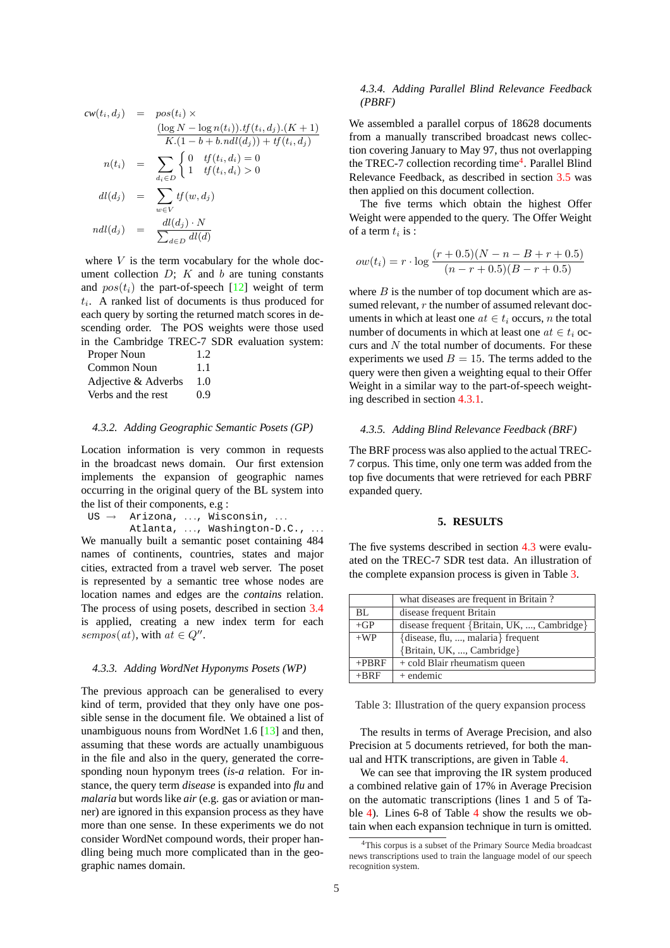<span id="page-4-0"></span>
$$
cw(t_i, d_j) = pos(t_i) \times
$$
  
\n
$$
\frac{(\log N - \log n(t_i)).tf(t_i, d_j).(K+1)}{K.(1 - b + b.ndl(d_j)) + tf(t_i, d_j)}
$$
  
\n
$$
n(t_i) = \sum_{d_i \in D} \begin{cases} 0 & \text{tf}(t_i, d_i) = 0\\ 1 & \text{tf}(t_i, d_i) > 0 \end{cases}
$$
  
\n
$$
dl(d_j) = \sum_{w \in V} tf(w, d_j)
$$
  
\n
$$
ndl(d_j) = \frac{dl(d_j) \cdot N}{\sum_{d \in D} dl(d)}
$$

where  $V$  is the term vocabulary for the whole document collection  $D$ ;  $K$  and  $b$  are tuning constants and  $pos(t_i)$  the part-of-speech [12] weight of term  $t_i$ . A ranked list of documents is thus produced for each query by sorting the returned match scores in descending order. The POS weights were those used in the Cambridge TREC-7 SD[R ev](#page-5-0)aluation system:

| Proper Noun         | 1.2 |
|---------------------|-----|
| Common Noun         | 1.1 |
| Adjective & Adverbs | 1.0 |
| Verbs and the rest  | 0.9 |

## *4.3.2. Adding Geographic Semantic Posets (GP)*

Location information is very common in requests in the broadcast news domain. Our first extension implements the expansion of geographic names occurring in the original query of the BL system into the list of their components, e.g :

 $US \rightarrow$  Arizona, ..., Wisconsin, ... Atlanta, ..., Washington-D.C., ... We manually built a semantic poset containing 484 names of continents, countries, states and major cities, extracted from a travel web server. The poset is represented by a semantic tree whose nodes are location names and edges are the *contains* relation. The process of using posets, described in section 3.4 is applied, creating a new index term for each  $sempos(at)$ , with  $at \in Q''$ .

#### *4.3.3. Adding WordNet Hyponyms Posets (WP)*

The previous approach can be generalised to every kind of term, provided that they only have one possible sense in the document file. We obtained a list of unambiguous nouns from WordNet 1.6 [13] and then, assuming that these words are actually unambiguous in the file and also in the query, generated the corresponding noun hyponym trees (*is-a* relation. For instance, the query term *disease* is expand[ed in](#page-5-0)to *flu* and *malaria* but words like *air* (e.g. gas or aviation or manner) are ignored in this expansion process as they have more than one sense. In these experiments we do not consider WordNet compound words, their proper handling being much more complicated than in the geographic names domain.

## *4.3.4. Adding Parallel Blind Relevance Feedback (PBRF)*

We assembled a parallel corpus of 18628 documents from a manually transcribed broadcast news collection covering January to May 97, thus not overlapping the TREC-7 collection recording time<sup>4</sup>. Parallel Blind Relevance Feedback, as described in section 3.5 was then applied on this document collection.

The five terms which obtain the highest Offer Weight were appended to the query. The Offer Weight of a term  $t_i$  is :

$$
ow(t_i) = r \cdot \log \frac{(r+0.5)(N-n-B+r+0.5)}{(n-r+0.5)(B-r+0.5)}
$$

where  $B$  is the number of top document which are assumed relevant, r the number of assumed relevant documents in which at least one  $at \in t_i$  occurs, *n* the total number of documents in which at least one  $at \in t_i$  occurs and  $N$  the total number of documents. For these experiments we used  $B = 15$ . The terms added to the query were then given a weighting equal to their Offer Weight in a similar way to the part-of-speech weighting described in section 4.3.1.

#### *4.3.5. Adding Blind Relevance Feedback (BRF)*

The BRF process was al[so app](#page-3-0)lied to the actual TREC-7 corpus. This time, only one term was added from the top five documents that were retrieved for each PBRF expanded query.

## **5. RESULTS**

The five systems described in section 4.3 were evaluated on the TREC-7 SDR test data. An illustration of the complete expansion process is given in Table 3.

|          | what diseases are frequent in Britain?      |  |  |
|----------|---------------------------------------------|--|--|
| BL.      | disease frequent Britain                    |  |  |
| $+GP$    | disease frequent {Britain, UK, , Cambridge} |  |  |
| $+WP$    | {disease, flu, , malaria} frequent          |  |  |
|          | {Britain, UK, , Cambridge}                  |  |  |
| $+$ PBRF | + cold Blair rheumatism queen               |  |  |
| $+RRF$   | $+$ endemic                                 |  |  |

Table 3: Illustration of the query expansion process

The results in terms of Average Precision, and also Precision at 5 documents retrieved, for both the manual and HTK transcriptions, are given in Table 4.

We can see that improving the IR system produced a combined relative gain of 17% in Average Precision on the automatic transcriptions (lines 1 and 5 of Table 4). Lines 6-8 of Table 4 show the results [w](#page-5-0)e obtain when each expansion technique in turn is omitted.

<sup>&</sup>lt;sup>4</sup>This corpus is a subset of the Primary Source Media broadcast news transcriptions used to train the language model of our speech reco[gni](#page-5-0)tion system.